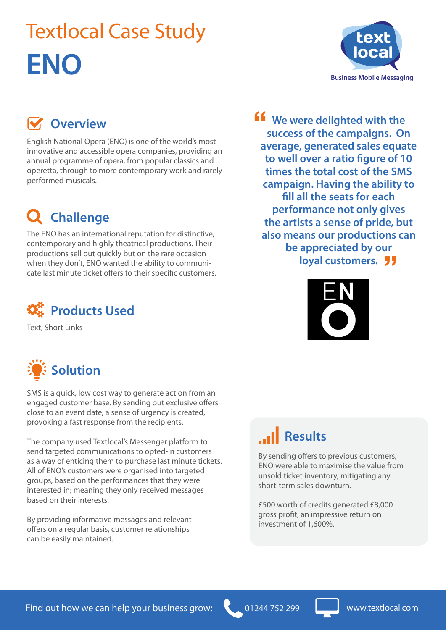# Textlocal Case Study **ENO**



### **W** Overview

English National Opera (ENO) is one of the world's most innovative and accessible opera companies, providing an annual programme of opera, from popular classics and operetta, through to more contemporary work and rarely performed musicals.

### **Challenge**

The ENO has an international reputation for distinctive, contemporary and highly theatrical productions. Their productions sell out quickly but on the rare occasion when they don't, ENO wanted the ability to communicate last minute ticket offers to their specific customers.



Text, Short Links



SMS is a quick, low cost way to generate action from an engaged customer base. By sending out exclusive offers close to an event date, a sense of urgency is created, provoking a fast response from the recipients.

The company used Textlocal's Messenger platform to send targeted communications to opted-in customers as a way of enticing them to purchase last minute tickets. All of ENO's customers were organised into targeted groups, based on the performances that they were interested in; meaning they only received messages based on their interests.

By providing informative messages and relevant offers on a regular basis, customer relationships can be easily maintained.

**ff** We were delighted with the success of the campaigns. Or appreciated by our<br>loyal customers. **success of the campaigns. On average, generated sales equate to well over a ratio figure of 10 times the total cost of the SMS campaign. Having the ability to fill all the seats for each performance not only gives the artists a sense of pride, but also means our productions can be appreciated by our** 



### **Results**

By sending offers to previous customers, ENO were able to maximise the value from unsold ticket inventory, mitigating any short-term sales downturn.

£500 worth of credits generated £8,000 gross profit, an impressive return on investment of 1,600%.